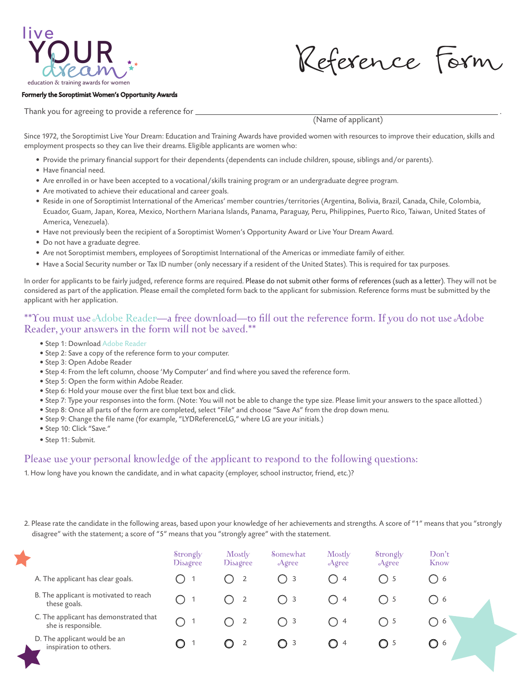

Reference Form

## Formerly the Soroptimist Women's Opportunity Awards

Thank you for agreeing to provide a reference for  $\overline{\phantom{a}}$ 

(Name of applicant)

Since 1972, the Soroptimist Live Your Dream: Education and Training Awards have provided women with resources to improve their education, skills and employment prospects so they can live their dreams. Eligible applicants are women who:

- Provide the primary financial support for their dependents (dependents can include children, spouse, siblings and/or parents).
- Have financial need.
- Are enrolled in or have been accepted to a vocational/skills training program or an undergraduate degree program.
- Are motivated to achieve their educational and career goals.
- Reside in one of Soroptimist International of the Americas' member countries/territories (Argentina, Bolivia, Brazil, Canada, Chile, Colombia, Ecuador, Guam, Japan, Korea, Mexico, Northern Mariana Islands, Panama, Paraguay, Peru, Philippines, Puerto Rico, Taiwan, United States of America, Venezuela).
- Have not previously been the recipient of a Soroptimist Women's Opportunity Award or Live Your Dream Award.
- Do not have a graduate degree.
- Are not Soroptimist members, employees of Soroptimist International of the Americas or immediate family of either.
- Have a Social Security number or Tax ID number (only necessary if a resident of the United States). This is required for tax purposes.

In order for applicants to be fairly judged, reference forms are required. Please do not submit other forms of references (such as a letter). They will not be considered as part of the application. Please email the completed form back to the applicant for submission. Reference forms must be submitted by the applicant with her application.

## \*\*You must use Adobe Reader—a free download—to fill out the reference form. If you do not use Adobe Reader, your answers in the form will not be saved.\*\*

- Step 1: Download Adobe Reader
- Step 2: Save a copy of the reference form to your computer.
- Step 3: Open Adobe Reader
- Step 4: From the left column, choose 'My Computer' and find where you saved the reference form.
- Step 5: Open the form within Adobe Reader.
- Step 6: Hold your mouse over the first blue text box and click.
- Step 7: Type your responses into the form. (Note: You will not be able to change the type size. Please limit your answers to the space allotted.)
- Step 8: Once all parts of the form are completed, select "File" and choose "Save As" from the drop down menu.
- Step 9: Change the file name (for example, "LYDReferenceLG," where LG are your initials.)
- Step 10: Click "Save."
- Step 11: Submit.

## Please use your personal knowledge of the applicant to respond to the following questions:

1. How long have you known the candidate, and in what capacity (employer, school instructor, friend, etc.)?

2. Please rate the candidate in the following areas, based upon your knowledge of her achievements and strengths. A score of "1" means that you "strongly disagree" with the statement; a score of "5" means that you "strongly agree" with the statement.

|                                                               | Strongly<br><b>Disagree</b>                   | Mostly<br><b>Disagree</b> | Somewhat<br>Agree | Mostly<br>Agree | Strongly<br>Agree | Don't<br>Know                                        |  |
|---------------------------------------------------------------|-----------------------------------------------|---------------------------|-------------------|-----------------|-------------------|------------------------------------------------------|--|
| A. The applicant has clear goals.                             |                                               | $\overline{2}$<br>Ο       | ( ) 3             | ( ) 4           | ( ) 5             | ()6                                                  |  |
| B. The applicant is motivated to reach<br>these goals.        | $\left(\begin{array}{c} 1 \end{array}\right)$ | $\overline{2}$            | ()3               | ()4             |                   | ()6                                                  |  |
| C. The applicant has demonstrated that<br>she is responsible. |                                               | $\overline{2}$            | $\bigcap$ 3       | $\bigcap$ 4     | $\bigcap$ 5       | - 6<br>$\left( \begin{array}{c} \end{array} \right)$ |  |
| D. The applicant would be an<br>inspiration to others.        |                                               | $\overline{2}$<br>CΣ      | $\bigcirc$ 3      | $\bigcirc$ 4    | $\bigcirc$ 5      | C) 6                                                 |  |